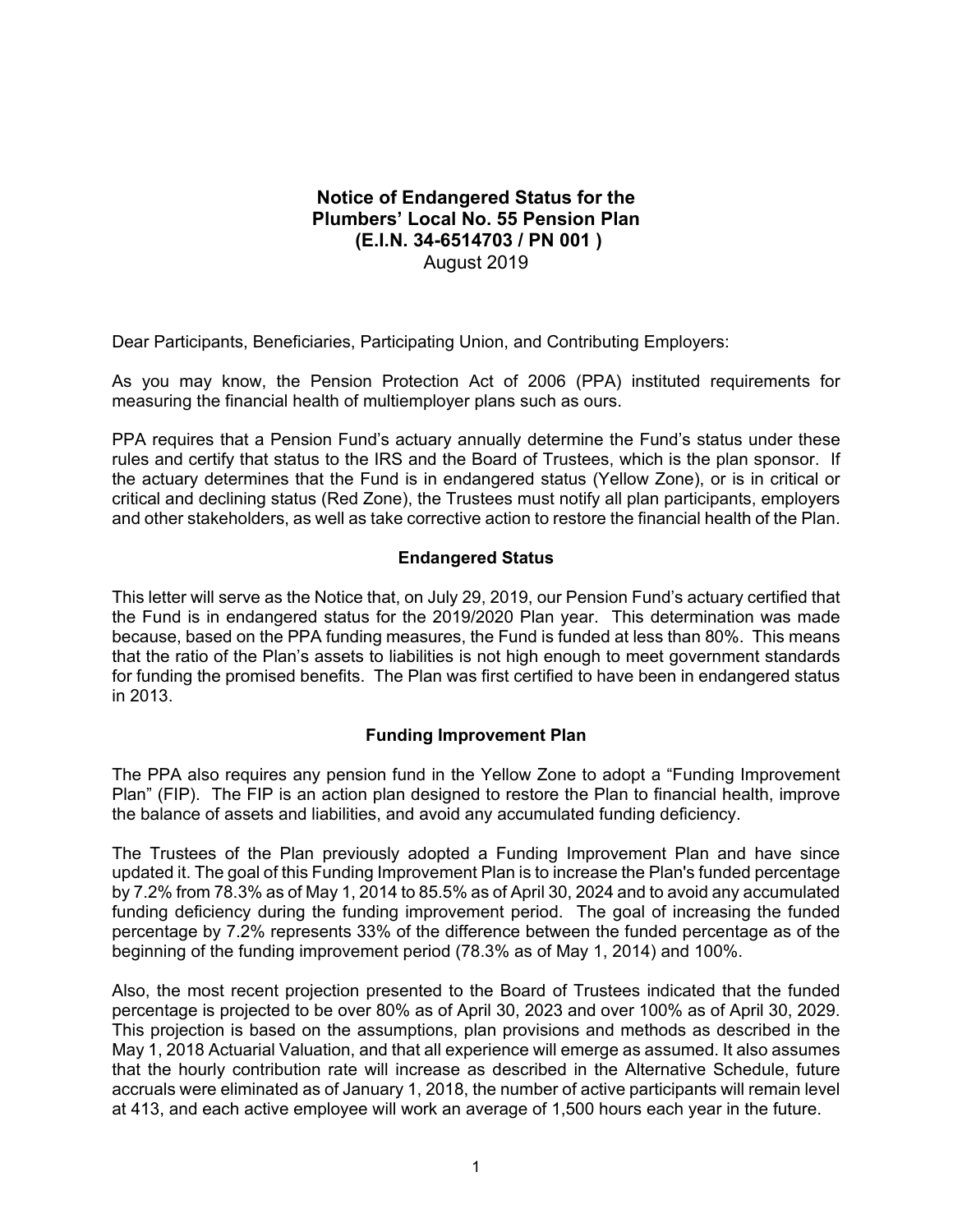## **Notice of Endangered Status for the Plumbers' Local No. 55 Pension Plan (E.I.N. 34-6514703 / PN 001 )**  August 2019

Dear Participants, Beneficiaries, Participating Union, and Contributing Employers:

As you may know, the Pension Protection Act of 2006 (PPA) instituted requirements for measuring the financial health of multiemployer plans such as ours.

PPA requires that a Pension Fund's actuary annually determine the Fund's status under these rules and certify that status to the IRS and the Board of Trustees, which is the plan sponsor. If the actuary determines that the Fund is in endangered status (Yellow Zone), or is in critical or critical and declining status (Red Zone), the Trustees must notify all plan participants, employers and other stakeholders, as well as take corrective action to restore the financial health of the Plan.

## **Endangered Status**

This letter will serve as the Notice that, on July 29, 2019, our Pension Fund's actuary certified that the Fund is in endangered status for the 2019/2020 Plan year. This determination was made because, based on the PPA funding measures, the Fund is funded at less than 80%. This means that the ratio of the Plan's assets to liabilities is not high enough to meet government standards for funding the promised benefits. The Plan was first certified to have been in endangered status in 2013.

## **Funding Improvement Plan**

The PPA also requires any pension fund in the Yellow Zone to adopt a "Funding Improvement Plan" (FIP). The FIP is an action plan designed to restore the Plan to financial health, improve the balance of assets and liabilities, and avoid any accumulated funding deficiency.

The Trustees of the Plan previously adopted a Funding Improvement Plan and have since updated it. The goal of this Funding Improvement Plan is to increase the Plan's funded percentage by 7.2% from 78.3% as of May 1, 2014 to 85.5% as of April 30, 2024 and to avoid any accumulated funding deficiency during the funding improvement period. The goal of increasing the funded percentage by 7.2% represents 33% of the difference between the funded percentage as of the beginning of the funding improvement period (78.3% as of May 1, 2014) and 100%.

Also, the most recent projection presented to the Board of Trustees indicated that the funded percentage is projected to be over 80% as of April 30, 2023 and over 100% as of April 30, 2029. This projection is based on the assumptions, plan provisions and methods as described in the May 1, 2018 Actuarial Valuation, and that all experience will emerge as assumed. It also assumes that the hourly contribution rate will increase as described in the Alternative Schedule, future accruals were eliminated as of January 1, 2018, the number of active participants will remain level at 413, and each active employee will work an average of 1,500 hours each year in the future.